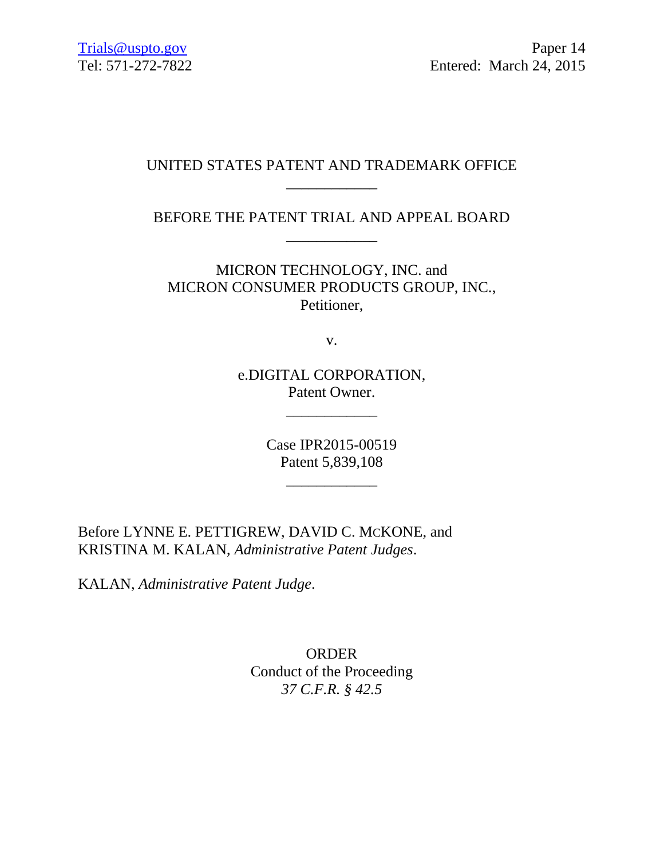### UNITED STATES PATENT AND TRADEMARK OFFICE \_\_\_\_\_\_\_\_\_\_\_\_

BEFORE THE PATENT TRIAL AND APPEAL BOARD \_\_\_\_\_\_\_\_\_\_\_\_

MICRON TECHNOLOGY, INC. and MICRON CONSUMER PRODUCTS GROUP, INC., Petitioner,

v.

e.DIGITAL CORPORATION, Patent Owner.

\_\_\_\_\_\_\_\_\_\_\_\_

Case IPR2015-00519 Patent 5,839,108

\_\_\_\_\_\_\_\_\_\_\_\_

Before LYNNE E. PETTIGREW, DAVID C. MCKONE, and KRISTINA M. KALAN, *Administrative Patent Judges*.

KALAN, *Administrative Patent Judge*.

ORDER Conduct of the Proceeding *37 C.F.R. § 42.5*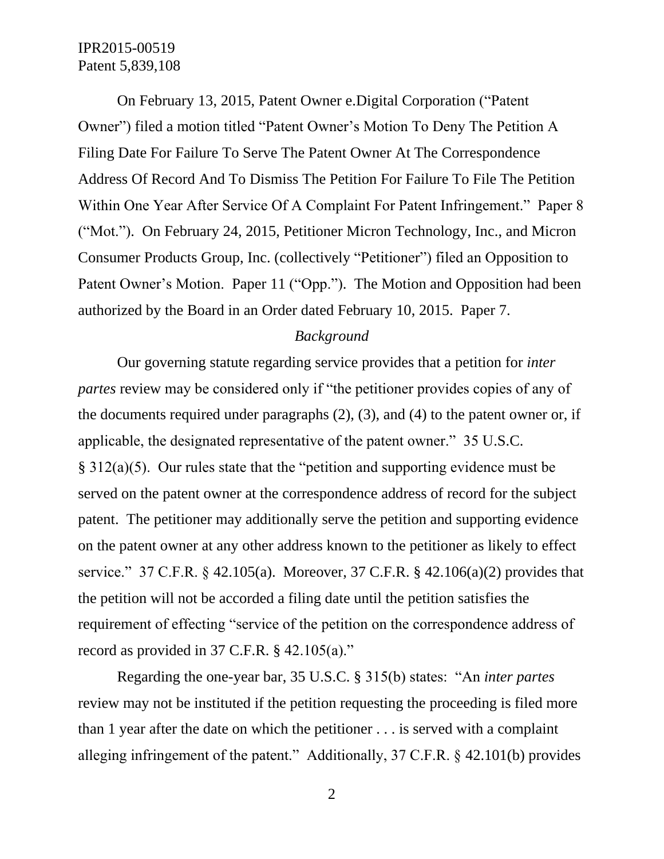On February 13, 2015, Patent Owner e.Digital Corporation ("Patent Owner") filed a motion titled "Patent Owner's Motion To Deny The Petition A Filing Date For Failure To Serve The Patent Owner At The Correspondence Address Of Record And To Dismiss The Petition For Failure To File The Petition Within One Year After Service Of A Complaint For Patent Infringement." Paper 8 ("Mot."). On February 24, 2015, Petitioner Micron Technology, Inc., and Micron Consumer Products Group, Inc. (collectively "Petitioner") filed an Opposition to Patent Owner's Motion. Paper 11 ("Opp."). The Motion and Opposition had been authorized by the Board in an Order dated February 10, 2015. Paper 7.

### *Background*

Our governing statute regarding service provides that a petition for *inter partes* review may be considered only if "the petitioner provides copies of any of the documents required under paragraphs (2), (3), and (4) to the patent owner or, if applicable, the designated representative of the patent owner." 35 U.S.C. § 312(a)(5). Our rules state that the "petition and supporting evidence must be served on the patent owner at the correspondence address of record for the subject patent. The petitioner may additionally serve the petition and supporting evidence on the patent owner at any other address known to the petitioner as likely to effect service." 37 C.F.R. § 42.105(a). Moreover, 37 C.F.R. § 42.106(a)(2) provides that the petition will not be accorded a filing date until the petition satisfies the requirement of effecting "service of the petition on the correspondence address of record as provided in 37 C.F.R. § 42.105(a)."

Regarding the one-year bar, 35 U.S.C. § 315(b) states: "An *inter partes*  review may not be instituted if the petition requesting the proceeding is filed more than 1 year after the date on which the petitioner . . . is served with a complaint alleging infringement of the patent." Additionally, 37 C.F.R. § 42.101(b) provides

2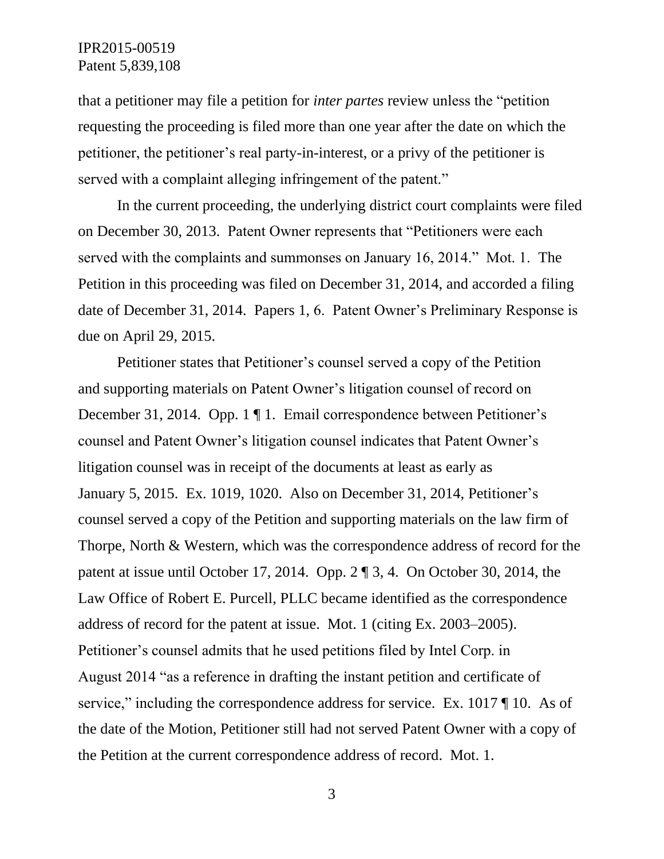that a petitioner may file a petition for *inter partes* review unless the "petition requesting the proceeding is filed more than one year after the date on which the petitioner, the petitioner's real party-in-interest, or a privy of the petitioner is served with a complaint alleging infringement of the patent."

In the current proceeding, the underlying district court complaints were filed on December 30, 2013. Patent Owner represents that "Petitioners were each served with the complaints and summonses on January 16, 2014." Mot. 1. The Petition in this proceeding was filed on December 31, 2014, and accorded a filing date of December 31, 2014. Papers 1, 6. Patent Owner's Preliminary Response is due on April 29, 2015.

Petitioner states that Petitioner's counsel served a copy of the Petition and supporting materials on Patent Owner's litigation counsel of record on December 31, 2014. Opp. 1 ¶ 1. Email correspondence between Petitioner's counsel and Patent Owner's litigation counsel indicates that Patent Owner's litigation counsel was in receipt of the documents at least as early as January 5, 2015. Ex. 1019, 1020. Also on December 31, 2014, Petitioner's counsel served a copy of the Petition and supporting materials on the law firm of Thorpe, North & Western, which was the correspondence address of record for the patent at issue until October 17, 2014. Opp. 2 ¶ 3, 4. On October 30, 2014, the Law Office of Robert E. Purcell, PLLC became identified as the correspondence address of record for the patent at issue. Mot. 1 (citing Ex. 2003–2005). Petitioner's counsel admits that he used petitions filed by Intel Corp. in August 2014 "as a reference in drafting the instant petition and certificate of service," including the correspondence address for service. Ex. 1017 || 10. As of the date of the Motion, Petitioner still had not served Patent Owner with a copy of the Petition at the current correspondence address of record. Mot. 1.

3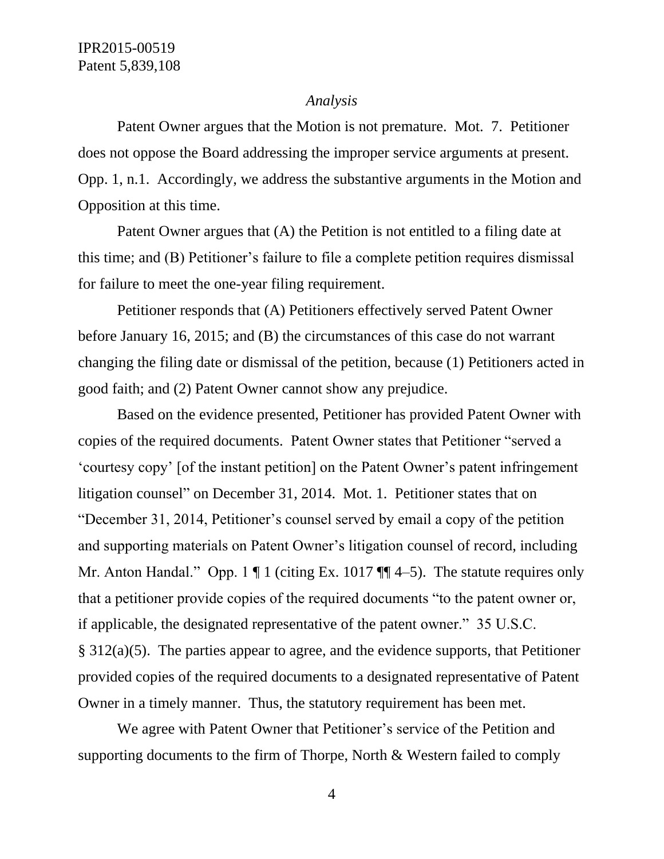#### *Analysis*

Patent Owner argues that the Motion is not premature. Mot. 7. Petitioner does not oppose the Board addressing the improper service arguments at present. Opp. 1, n.1. Accordingly, we address the substantive arguments in the Motion and Opposition at this time.

Patent Owner argues that (A) the Petition is not entitled to a filing date at this time; and (B) Petitioner's failure to file a complete petition requires dismissal for failure to meet the one-year filing requirement.

Petitioner responds that (A) Petitioners effectively served Patent Owner before January 16, 2015; and (B) the circumstances of this case do not warrant changing the filing date or dismissal of the petition, because (1) Petitioners acted in good faith; and (2) Patent Owner cannot show any prejudice.

Based on the evidence presented, Petitioner has provided Patent Owner with copies of the required documents. Patent Owner states that Petitioner "served a 'courtesy copy' [of the instant petition] on the Patent Owner's patent infringement litigation counsel" on December 31, 2014. Mot. 1. Petitioner states that on "December 31, 2014, Petitioner's counsel served by email a copy of the petition and supporting materials on Patent Owner's litigation counsel of record, including Mr. Anton Handal." Opp. 1  $\P$  1 (citing Ex. 1017  $\P$  $\P$  4–5). The statute requires only that a petitioner provide copies of the required documents "to the patent owner or, if applicable, the designated representative of the patent owner." 35 U.S.C. § 312(a)(5). The parties appear to agree, and the evidence supports, that Petitioner provided copies of the required documents to a designated representative of Patent Owner in a timely manner. Thus, the statutory requirement has been met.

We agree with Patent Owner that Petitioner's service of the Petition and supporting documents to the firm of Thorpe, North & Western failed to comply

4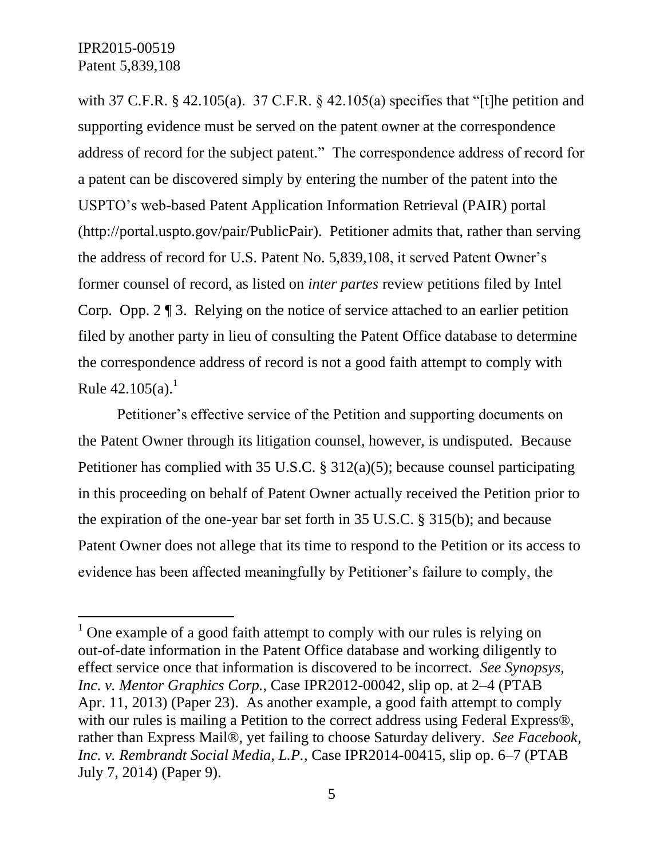$\overline{a}$ 

with 37 C.F.R. § 42.105(a). 37 C.F.R. § 42.105(a) specifies that "[t] he petition and supporting evidence must be served on the patent owner at the correspondence address of record for the subject patent." The correspondence address of record for a patent can be discovered simply by entering the number of the patent into the USPTO's web-based Patent Application Information Retrieval (PAIR) portal (http://portal.uspto.gov/pair/PublicPair). Petitioner admits that, rather than serving the address of record for U.S. Patent No. 5,839,108, it served Patent Owner's former counsel of record, as listed on *inter partes* review petitions filed by Intel Corp. Opp. 2 ¶ 3. Relying on the notice of service attached to an earlier petition filed by another party in lieu of consulting the Patent Office database to determine the correspondence address of record is not a good faith attempt to comply with Rule  $42.105(a)^1$ .

Petitioner's effective service of the Petition and supporting documents on the Patent Owner through its litigation counsel, however, is undisputed. Because Petitioner has complied with 35 U.S.C. § 312(a)(5); because counsel participating in this proceeding on behalf of Patent Owner actually received the Petition prior to the expiration of the one-year bar set forth in 35 U.S.C. § 315(b); and because Patent Owner does not allege that its time to respond to the Petition or its access to evidence has been affected meaningfully by Petitioner's failure to comply, the

 $1$  One example of a good faith attempt to comply with our rules is relying on out-of-date information in the Patent Office database and working diligently to effect service once that information is discovered to be incorrect. *See Synopsys, Inc. v. Mentor Graphics Corp.*, Case IPR2012-00042, slip op. at 2–4 (PTAB Apr. 11, 2013) (Paper 23). As another example, a good faith attempt to comply with our rules is mailing a Petition to the correct address using Federal Express<sup>®</sup>, rather than Express Mail®, yet failing to choose Saturday delivery. *See Facebook, Inc. v. Rembrandt Social Media, L.P.*, Case IPR2014-00415, slip op. 6–7 (PTAB July 7, 2014) (Paper 9).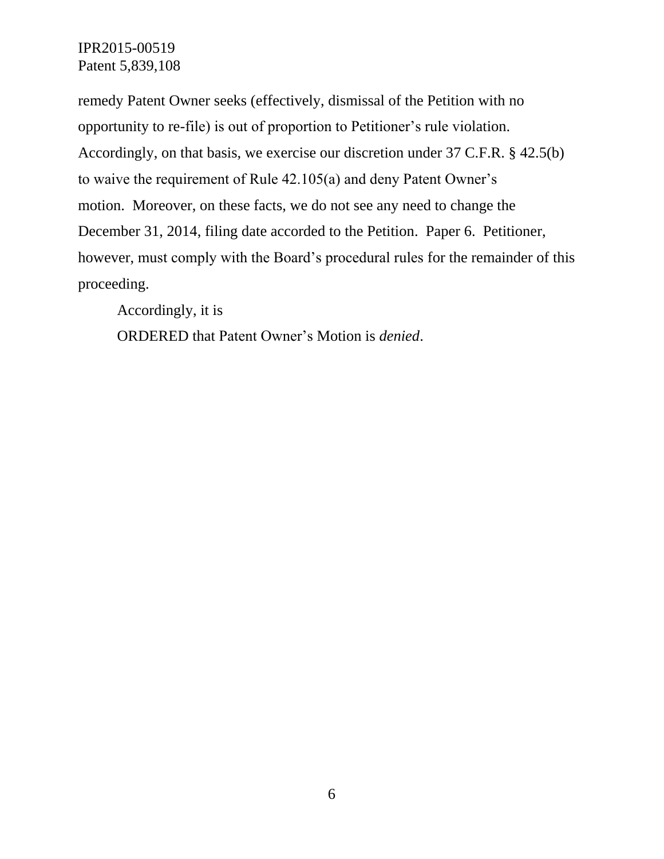IPR2015-00519 Patent 5,839,108

remedy Patent Owner seeks (effectively, dismissal of the Petition with no opportunity to re-file) is out of proportion to Petitioner's rule violation. Accordingly, on that basis, we exercise our discretion under 37 C.F.R. § 42.5(b) to waive the requirement of Rule 42.105(a) and deny Patent Owner's motion. Moreover, on these facts, we do not see any need to change the December 31, 2014, filing date accorded to the Petition. Paper 6. Petitioner, however, must comply with the Board's procedural rules for the remainder of this proceeding.

Accordingly, it is

ORDERED that Patent Owner's Motion is *denied*.